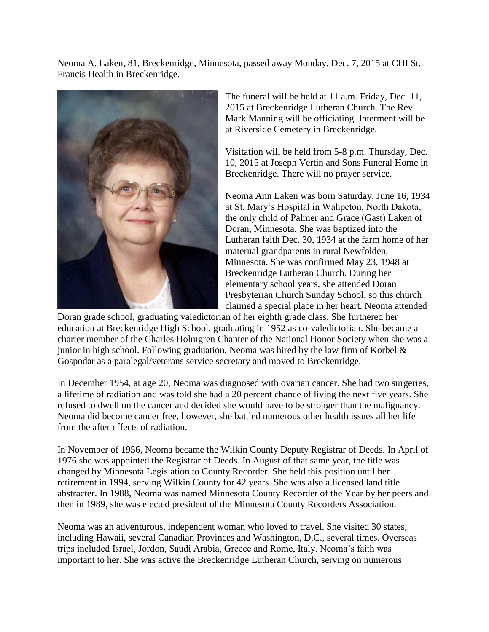Neoma A. Laken, 81, Breckenridge, Minnesota, passed away Monday, Dec. 7, 2015 at CHI St. Francis Health in Breckenridge.



The funeral will be held at 11 a.m. Friday, Dec. 11, 2015 at Breckenridge Lutheran Church. The Rev. Mark Manning will be officiating. Interment will be at Riverside Cemetery in Breckenridge.

Visitation will be held from 5-8 p.m. Thursday, Dec. 10, 2015 at Joseph Vertin and Sons Funeral Home in Breckenridge. There will no prayer service.

Neoma Ann Laken was born Saturday, June 16, 1934 at St. Mary's Hospital in Wahpeton, North Dakota, the only child of Palmer and Grace (Gast) Laken of Doran, Minnesota. She was baptized into the Lutheran faith Dec. 30, 1934 at the farm home of her maternal grandparents in rural Newfolden, Minnesota. She was confirmed May 23, 1948 at Breckenridge Lutheran Church. During her elementary school years, she attended Doran Presbyterian Church Sunday School, so this church claimed a special place in her heart. Neoma attended

Doran grade school, graduating valedictorian of her eighth grade class. She furthered her education at Breckenridge High School, graduating in 1952 as co-valedictorian. She became a charter member of the Charles Holmgren Chapter of the National Honor Society when she was a junior in high school. Following graduation, Neoma was hired by the law firm of Korbel  $\&$ Gospodar as a paralegal/veterans service secretary and moved to Breckenridge.

In December 1954, at age 20, Neoma was diagnosed with ovarian cancer. She had two surgeries, a lifetime of radiation and was told she had a 20 percent chance of living the next five years. She refused to dwell on the cancer and decided she would have to be stronger than the malignancy. Neoma did become cancer free, however, she battled numerous other health issues all her life from the after effects of radiation.

In November of 1956, Neoma became the Wilkin County Deputy Registrar of Deeds. In April of 1976 she was appointed the Registrar of Deeds. In August of that same year, the title was changed by Minnesota Legislation to County Recorder. She held this position until her retirement in 1994, serving Wilkin County for 42 years. She was also a licensed land title abstracter. In 1988, Neoma was named Minnesota County Recorder of the Year by her peers and then in 1989, she was elected president of the Minnesota County Recorders Association.

Neoma was an adventurous, independent woman who loved to travel. She visited 30 states, including Hawaii, several Canadian Provinces and Washington, D.C., several times. Overseas trips included Israel, Jordon, Saudi Arabia, Greece and Rome, Italy. Neoma's faith was important to her. She was active the Breckenridge Lutheran Church, serving on numerous